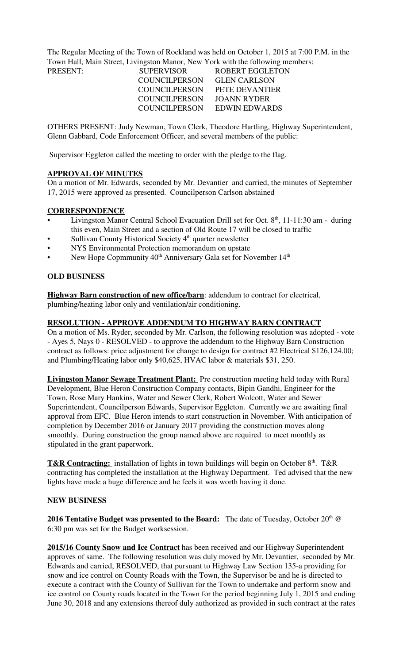The Regular Meeting of the Town of Rockland was held on October 1, 2015 at 7:00 P.M. in the Town Hall, Main Street, Livingston Manor, New York with the following members:

| PRESENT: | <b>SUPERVISOR</b>    | ROBERT EGGLETON       |
|----------|----------------------|-----------------------|
|          | <b>COUNCILPERSON</b> | <b>GLEN CARLSON</b>   |
|          | COUNCILPERSON        | <b>PETE DEVANTIER</b> |
|          | COUNCIL PERSON       | JOANN RYDER           |
|          | COUNCILPERSON        | EDWIN EDWARDS         |

OTHERS PRESENT: Judy Newman, Town Clerk, Theodore Hartling, Highway Superintendent, Glenn Gabbard, Code Enforcement Officer, and several members of the public:

Supervisor Eggleton called the meeting to order with the pledge to the flag.

#### **APPROVAL OF MINUTES**

On a motion of Mr. Edwards, seconded by Mr. Devantier and carried, the minutes of September 17, 2015 were approved as presented. Councilperson Carlson abstained

#### **CORRESPONDENCE**

- Livingston Manor Central School Evacuation Drill set for Oct.  $8<sup>th</sup>$ , 11-11:30 am during this even, Main Street and a section of Old Route 17 will be closed to traffic
- Sullivan County Historical Society 4<sup>th</sup> quarter newsletter
- NYS Environmental Protection memorandum on upstate
- New Hope Copmmunity 40<sup>th</sup> Anniversary Gala set for November 14<sup>th</sup>

#### **OLD BUSINESS**

**Highway Barn construction of new office/barn**: addendum to contract for electrical, plumbing/heating labor only and ventilation/air conditioning.

#### **RESOLUTION - APPROVE ADDENDUM TO HIGHWAY BARN CONTRACT**

On a motion of Ms. Ryder, seconded by Mr. Carlson, the following resolution was adopted - vote - Ayes 5, Nays 0 - RESOLVED - to approve the addendum to the Highway Barn Construction contract as follows: price adjustment for change to design for contract #2 Electrical \$126,124.00; and Plumbing/Heating labor only \$40,625, HVAC labor & materials \$31, 250.

**Livingston Manor Sewage Treatment Plant:** Pre construction meeting held today with Rural Development, Blue Heron Construction Company contacts, Bipin Gandhi, Engineer for the Town, Rose Mary Hankins, Water and Sewer Clerk, Robert Wolcott, Water and Sewer Superintendent, Councilperson Edwards, Supervisor Eggleton. Currently we are awaiting final approval from EFC. Blue Heron intends to start construction in November. With anticipation of completion by December 2016 or January 2017 providing the construction moves along smoothly. During construction the group named above are required to meet monthly as stipulated in the grant paperwork.

**T&R Contracting:** installation of lights in town buildings will begin on October 8<sup>th</sup>. T&R contracting has completed the installation at the Highway Department. Ted advised that the new lights have made a huge difference and he feels it was worth having it done.

#### **NEW BUSINESS**

**2016 Tentative Budget was presented to the Board:** The date of Tuesday, October 20<sup>th</sup> @ 6:30 pm was set for the Budget worksession.

2015/16 County Snow and Ice Contract has been received and our Highway Superintendent approves of same. The following resolution was duly moved by Mr. Devantier, seconded by Mr. Edwards and carried, RESOLVED, that pursuant to Highway Law Section 135-a providing for snow and ice control on County Roads with the Town, the Supervisor be and he is directed to execute a contract with the County of Sullivan for the Town to undertake and perform snow and ice control on County roads located in the Town for the period beginning July 1, 2015 and ending June 30, 2018 and any extensions thereof duly authorized as provided in such contract at the rates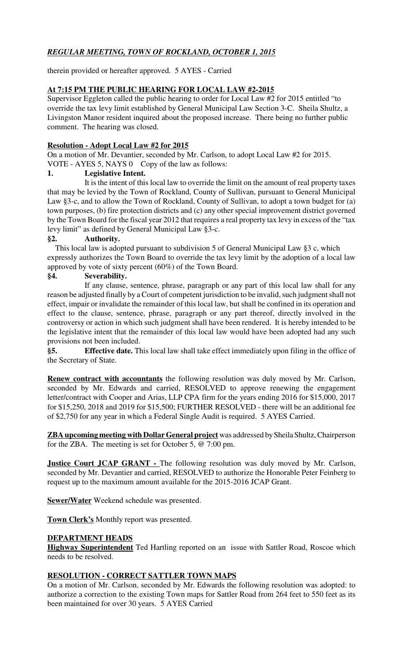# *REGULAR MEETING, TOWN OF ROCKLAND, OCTOBER 1, 2015*

therein provided or hereafter approved. 5 AYES - Carried

## **At 7:15 PM THE PUBLIC HEARING FOR LOCAL LAW #2-2015**

Supervisor Eggleton called the public hearing to order for Local Law #2 for 2015 entitled "to override the tax levy limit established by General Municipal Law Section 3-C. Sheila Shultz, a Livingston Manor resident inquired about the proposed increase. There being no further public comment. The hearing was closed.

## **Resolution - Adopt Local Law #2 for 2015**

On a motion of Mr. Devantier, seconded by Mr. Carlson, to adopt Local Law #2 for 2015. VOTE - AYES 5, NAYS 0 Copy of the law as follows:

## **1. Legislative Intent.**

It is the intent of this local law to override the limit on the amount of real property taxes that may be levied by the Town of Rockland, County of Sullivan, pursuant to General Municipal Law §3-c, and to allow the Town of Rockland, County of Sullivan, to adopt a town budget for (a) town purposes, (b) fire protection districts and (c) any other special improvement district governed by the Town Board for the fiscal year 2012 that requires a real property tax levy in excess of the "tax levy limit" as defined by General Municipal Law §3-c.

## **§2. Authority.**

 This local law is adopted pursuant to subdivision 5 of General Municipal Law §3 c, which expressly authorizes the Town Board to override the tax levy limit by the adoption of a local law approved by vote of sixty percent (60%) of the Town Board.

## **§4. Severability.**

If any clause, sentence, phrase, paragraph or any part of this local law shall for any reason be adjusted finally by a Court of competent jurisdiction to be invalid, such judgment shall not effect, impair or invalidate the remainder of this local law, but shall be confined in its operation and effect to the clause, sentence, phrase, paragraph or any part thereof, directly involved in the controversy or action in which such judgment shall have been rendered. It is hereby intended to be the legislative intent that the remainder of this local law would have been adopted had any such provisions not been included.

**§5. Effective date.** This local law shall take effect immediately upon filing in the office of the Secretary of State.

**Renew contract with accountants** the following resolution was duly moved by Mr. Carlson, seconded by Mr. Edwards and carried, RESOLVED to approve renewing the engagement letter/contract with Cooper and Arias, LLP CPA firm for the years ending 2016 for \$15,000, 2017 for \$15,250, 2018 and 2019 for \$15,500; FURTHER RESOLVED - there will be an additional fee of \$2,750 for any year in which a Federal Single Audit is required. 5 AYES Carried.

**ZBA upcoming meeting with Dollar General project** was addressed by Sheila Shultz, Chairperson for the ZBA. The meeting is set for October 5, @ 7:00 pm.

**Justice Court JCAP GRANT - The following resolution was duly moved by Mr. Carlson,** seconded by Mr. Devantier and carried, RESOLVED to authorize the Honorable Peter Feinberg to request up to the maximum amount available for the 2015-2016 JCAP Grant.

**Sewer/Water** Weekend schedule was presented.

**Town Clerk's** Monthly report was presented.

## **DEPARTMENT HEADS**

**Highway Superintendent** Ted Hartling reported on an issue with Sattler Road, Roscoe which needs to be resolved.

## **RESOLUTION - CORRECT SATTLER TOWN MAPS**

On a motion of Mr. Carlson, seconded by Mr. Edwards the following resolution was adopted: to authorize a correction to the existing Town maps for Sattler Road from 264 feet to 550 feet as its been maintained for over 30 years. 5 AYES Carried